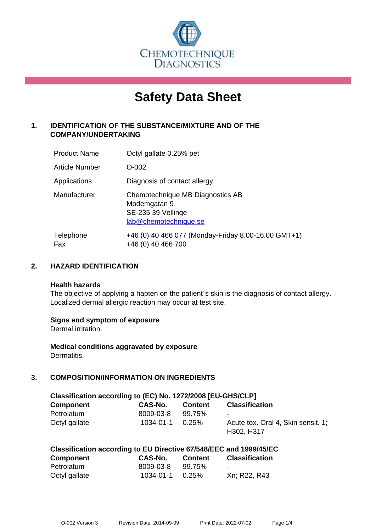

# **Safety Data Sheet**

# **1. IDENTIFICATION OF THE SUBSTANCE/MIXTURE AND OF THE COMPANY/UNDERTAKING**

| <b>Product Name</b> | Octyl gallate 0.25% pet                                                                         |
|---------------------|-------------------------------------------------------------------------------------------------|
| Article Number      | $O-002$                                                                                         |
| Applications        | Diagnosis of contact allergy.                                                                   |
| Manufacturer        | Chemotechnique MB Diagnostics AB<br>Modemgatan 9<br>SE-235 39 Vellinge<br>lab@chemotechnique.se |
| Telephone<br>Fax    | +46 (0) 40 466 077 (Monday-Friday 8.00-16.00 GMT+1)<br>+46 (0) 40 466 700                       |

## **2. HAZARD IDENTIFICATION**

#### **Health hazards**

The objective of applying a hapten on the patient's skin is the diagnosis of contact allergy. Localized dermal allergic reaction may occur at test site.

## **Signs and symptom of exposure**

Dermal irritation.

**Medical conditions aggravated by exposure** Dermatitis.

# **3. COMPOSITION/INFORMATION ON INGREDIENTS**

| Classification according to (EC) No. 1272/2008 [EU-GHS/CLP] |           |                |                                    |  |
|-------------------------------------------------------------|-----------|----------------|------------------------------------|--|
| <b>Component</b>                                            | CAS-No.   | <b>Content</b> | <b>Classification</b>              |  |
| Petrolatum                                                  | 8009-03-8 | 99.75%         | $\sim$                             |  |
| Octyl gallate                                               | 1034-01-1 | $0.25\%$       | Acute tox. Oral 4, Skin sensit. 1: |  |
|                                                             |           |                | H302, H317                         |  |

| Classification according to EU Directive 67/548/EEC and 1999/45/EC |
|--------------------------------------------------------------------|
|--------------------------------------------------------------------|

| <b>Component</b> | <b>CAS-No.</b> | <b>Content</b> | <b>Classification</b>    |
|------------------|----------------|----------------|--------------------------|
| Petrolatum       | 8009-03-8      | 99.75%         | $\overline{\phantom{a}}$ |
| Octyl gallate    | 1034-01-1      | $0.25\%$       | Xn; R22, R43             |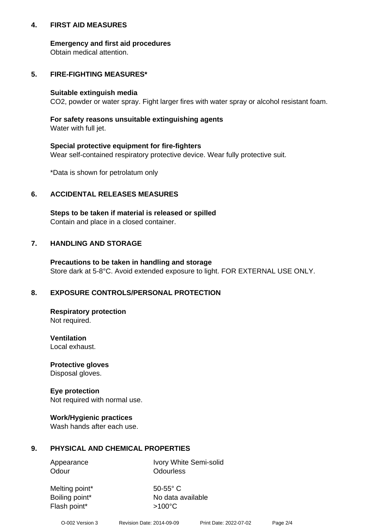## **4. FIRST AID MEASURES**

## **Emergency and first aid procedures**

Obtain medical attention.

# **5. FIRE-FIGHTING MEASURES\***

#### **Suitable extinguish media**

CO2, powder or water spray. Fight larger fires with water spray or alcohol resistant foam.

# **For safety reasons unsuitable extinguishing agents**

Water with full jet.

## **Special protective equipment for fire-fighters**

Wear self-contained respiratory protective device. Wear fully protective suit.

\*Data is shown for petrolatum only

## **6. ACCIDENTAL RELEASES MEASURES**

**Steps to be taken if material is released or spilled** Contain and place in a closed container.

# **7. HANDLING AND STORAGE**

**Precautions to be taken in handling and storage** Store dark at 5-8°C. Avoid extended exposure to light. FOR EXTERNAL USE ONLY.

# **8. EXPOSURE CONTROLS/PERSONAL PROTECTION**

**Respiratory protection** Not required.

**Ventilation** Local exhaust.

**Protective gloves** Disposal gloves.

#### **Eye protection** Not required with normal use.

## **Work/Hygienic practices**

Wash hands after each use.

## **9. PHYSICAL AND CHEMICAL PROPERTIES**

Odour **Odourless** 

Appearance Ivory White Semi-solid

Melting point\* 50-55° C Flash point\*  $>100^{\circ}$ C

Boiling point\* No data available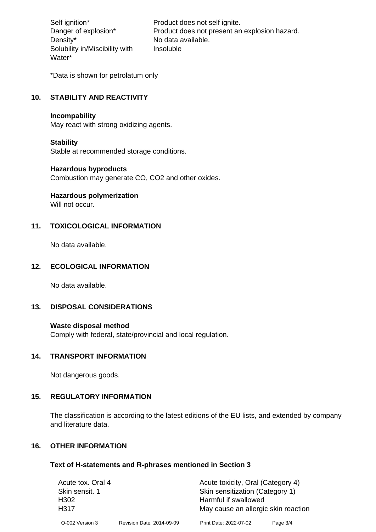Density\* No data available. Solubility in/Miscibility with Water\*

Self ignition\* Product does not self ignite. Danger of explosion\* Product does not present an explosion hazard. Insoluble

\*Data is shown for petrolatum only

# **10. STABILITY AND REACTIVITY**

#### **Incompability**

May react with strong oxidizing agents.

#### **Stability**

Stable at recommended storage conditions.

## **Hazardous byproducts**

Combustion may generate CO, CO2 and other oxides.

**Hazardous polymerization**

Will not occur.

## **11. TOXICOLOGICAL INFORMATION**

No data available.

## **12. ECOLOGICAL INFORMATION**

No data available.

## **13. DISPOSAL CONSIDERATIONS**

#### **Waste disposal method**

Comply with federal, state/provincial and local regulation.

#### **14. TRANSPORT INFORMATION**

Not dangerous goods.

## **15. REGULATORY INFORMATION**

The classification is according to the latest editions of the EU lists, and extended by company and literature data.

#### **16. OTHER INFORMATION**

#### **Text of H-statements and R-phrases mentioned in Section 3**

| Acute tox. Oral 4 |                           | Acute toxicity, Oral (Category 4)   |          |  |
|-------------------|---------------------------|-------------------------------------|----------|--|
| Skin sensit. 1    |                           | Skin sensitization (Category 1)     |          |  |
| H <sub>302</sub>  |                           | Harmful if swallowed                |          |  |
| H317              |                           | May cause an allergic skin reaction |          |  |
| O-002 Version 3   | Revision Date: 2014-09-09 | Print Date: 2022-07-02              | Page 3/4 |  |